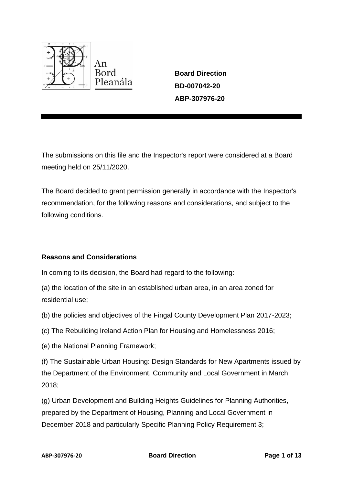

**Board Direction BD-007042-20 ABP-307976-20**

The submissions on this file and the Inspector's report were considered at a Board meeting held on 25/11/2020.

The Board decided to grant permission generally in accordance with the Inspector's recommendation, for the following reasons and considerations, and subject to the following conditions.

# **Reasons and Considerations**

In coming to its decision, the Board had regard to the following:

(a) the location of the site in an established urban area, in an area zoned for residential use;

- (b) the policies and objectives of the Fingal County Development Plan 2017-2023;
- (c) The Rebuilding Ireland Action Plan for Housing and Homelessness 2016;
- (e) the National Planning Framework;

(f) The Sustainable Urban Housing: Design Standards for New Apartments issued by the Department of the Environment, Community and Local Government in March 2018;

(g) Urban Development and Building Heights Guidelines for Planning Authorities, prepared by the Department of Housing, Planning and Local Government in December 2018 and particularly Specific Planning Policy Requirement 3;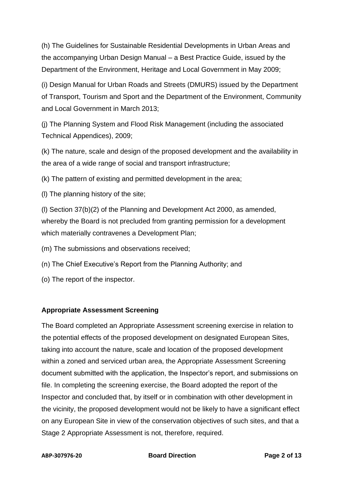(h) The Guidelines for Sustainable Residential Developments in Urban Areas and the accompanying Urban Design Manual – a Best Practice Guide, issued by the Department of the Environment, Heritage and Local Government in May 2009;

(i) Design Manual for Urban Roads and Streets (DMURS) issued by the Department of Transport, Tourism and Sport and the Department of the Environment, Community and Local Government in March 2013;

(j) The Planning System and Flood Risk Management (including the associated Technical Appendices), 2009;

(k) The nature, scale and design of the proposed development and the availability in the area of a wide range of social and transport infrastructure;

(k) The pattern of existing and permitted development in the area;

(l) The planning history of the site;

(l) Section 37(b)(2) of the Planning and Development Act 2000, as amended, whereby the Board is not precluded from granting permission for a development which materially contravenes a Development Plan;

(m) The submissions and observations received;

(n) The Chief Executive's Report from the Planning Authority; and

(o) The report of the inspector.

# **Appropriate Assessment Screening**

The Board completed an Appropriate Assessment screening exercise in relation to the potential effects of the proposed development on designated European Sites, taking into account the nature, scale and location of the proposed development within a zoned and serviced urban area, the Appropriate Assessment Screening document submitted with the application, the Inspector's report, and submissions on file. In completing the screening exercise, the Board adopted the report of the Inspector and concluded that, by itself or in combination with other development in the vicinity, the proposed development would not be likely to have a significant effect on any European Site in view of the conservation objectives of such sites, and that a Stage 2 Appropriate Assessment is not, therefore, required.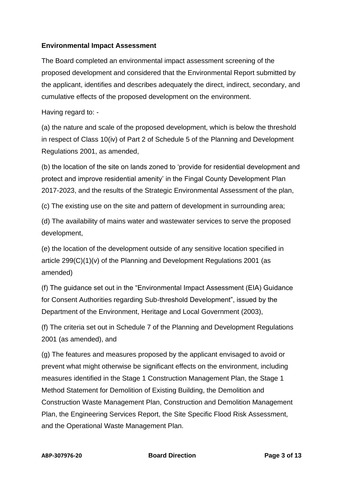# **Environmental Impact Assessment**

The Board completed an environmental impact assessment screening of the proposed development and considered that the Environmental Report submitted by the applicant, identifies and describes adequately the direct, indirect, secondary, and cumulative effects of the proposed development on the environment.

Having regard to: -

(a) the nature and scale of the proposed development, which is below the threshold in respect of Class 10(iv) of Part 2 of Schedule 5 of the Planning and Development Regulations 2001, as amended,

(b) the location of the site on lands zoned to 'provide for residential development and protect and improve residential amenity' in the Fingal County Development Plan 2017-2023, and the results of the Strategic Environmental Assessment of the plan,

(c) The existing use on the site and pattern of development in surrounding area;

(d) The availability of mains water and wastewater services to serve the proposed development,

(e) the location of the development outside of any sensitive location specified in article 299(C)(1)(v) of the Planning and Development Regulations 2001 (as amended)

(f) The guidance set out in the "Environmental Impact Assessment (EIA) Guidance for Consent Authorities regarding Sub-threshold Development", issued by the Department of the Environment, Heritage and Local Government (2003),

(f) The criteria set out in Schedule 7 of the Planning and Development Regulations 2001 (as amended), and

(g) The features and measures proposed by the applicant envisaged to avoid or prevent what might otherwise be significant effects on the environment, including measures identified in the Stage 1 Construction Management Plan, the Stage 1 Method Statement for Demolition of Existing Building, the Demolition and Construction Waste Management Plan, Construction and Demolition Management Plan, the Engineering Services Report, the Site Specific Flood Risk Assessment, and the Operational Waste Management Plan.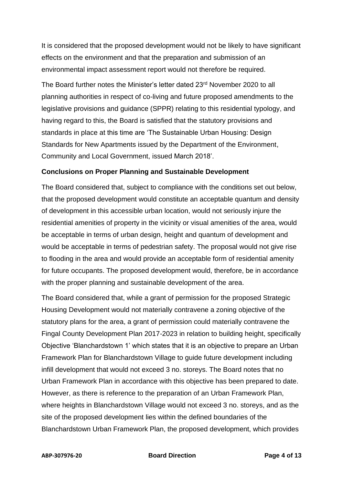It is considered that the proposed development would not be likely to have significant effects on the environment and that the preparation and submission of an environmental impact assessment report would not therefore be required.

The Board further notes the Minister's letter dated 23rd November 2020 to all planning authorities in respect of co-living and future proposed amendments to the legislative provisions and guidance (SPPR) relating to this residential typology, and having regard to this, the Board is satisfied that the statutory provisions and standards in place at this time are 'The Sustainable Urban Housing: Design Standards for New Apartments issued by the Department of the Environment, Community and Local Government, issued March 2018'.

#### **Conclusions on Proper Planning and Sustainable Development**

The Board considered that, subject to compliance with the conditions set out below, that the proposed development would constitute an acceptable quantum and density of development in this accessible urban location, would not seriously injure the residential amenities of property in the vicinity or visual amenities of the area, would be acceptable in terms of urban design, height and quantum of development and would be acceptable in terms of pedestrian safety. The proposal would not give rise to flooding in the area and would provide an acceptable form of residential amenity for future occupants. The proposed development would, therefore, be in accordance with the proper planning and sustainable development of the area.

The Board considered that, while a grant of permission for the proposed Strategic Housing Development would not materially contravene a zoning objective of the statutory plans for the area, a grant of permission could materially contravene the Fingal County Development Plan 2017-2023 in relation to building height, specifically Objective 'Blanchardstown 1' which states that it is an objective to prepare an Urban Framework Plan for Blanchardstown Village to guide future development including infill development that would not exceed 3 no. storeys. The Board notes that no Urban Framework Plan in accordance with this objective has been prepared to date. However, as there is reference to the preparation of an Urban Framework Plan, where heights in Blanchardstown Village would not exceed 3 no. storeys, and as the site of the proposed development lies within the defined boundaries of the Blanchardstown Urban Framework Plan, the proposed development, which provides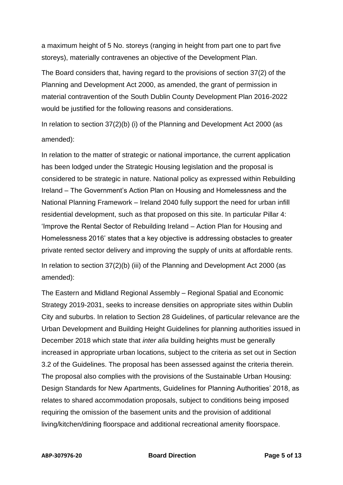a maximum height of 5 No. storeys (ranging in height from part one to part five storeys), materially contravenes an objective of the Development Plan.

The Board considers that, having regard to the provisions of section 37(2) of the Planning and Development Act 2000, as amended, the grant of permission in material contravention of the South Dublin County Development Plan 2016-2022 would be justified for the following reasons and considerations.

In relation to section 37(2)(b) (i) of the Planning and Development Act 2000 (as amended):

In relation to the matter of strategic or national importance, the current application has been lodged under the Strategic Housing legislation and the proposal is considered to be strategic in nature. National policy as expressed within Rebuilding Ireland – The Government's Action Plan on Housing and Homelessness and the National Planning Framework – Ireland 2040 fully support the need for urban infill residential development, such as that proposed on this site. In particular Pillar 4: 'Improve the Rental Sector of Rebuilding Ireland – Action Plan for Housing and Homelessness 2016' states that a key objective is addressing obstacles to greater private rented sector delivery and improving the supply of units at affordable rents. In relation to section 37(2)(b) (iii) of the Planning and Development Act 2000 (as amended):

The Eastern and Midland Regional Assembly – Regional Spatial and Economic Strategy 2019-2031, seeks to increase densities on appropriate sites within Dublin City and suburbs. In relation to Section 28 Guidelines, of particular relevance are the Urban Development and Building Height Guidelines for planning authorities issued in December 2018 which state that *inter alia* building heights must be generally increased in appropriate urban locations, subject to the criteria as set out in Section 3.2 of the Guidelines. The proposal has been assessed against the criteria therein. The proposal also complies with the provisions of the Sustainable Urban Housing: Design Standards for New Apartments, Guidelines for Planning Authorities' 2018, as relates to shared accommodation proposals, subject to conditions being imposed requiring the omission of the basement units and the provision of additional living/kitchen/dining floorspace and additional recreational amenity floorspace.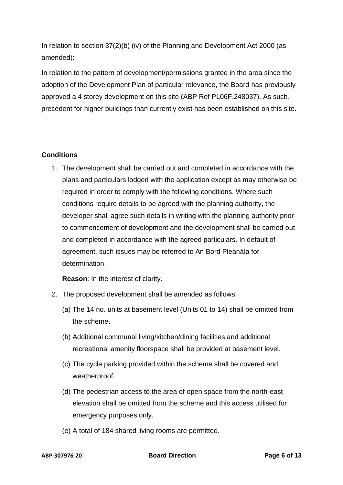In relation to section 37(2)(b) (iv) of the Planning and Development Act 2000 (as amended):

In relation to the pattern of development/permissions granted in the area since the adoption of the Development Plan of particular relevance, the Board has previously approved a 4 storey development on this site (ABP Ref PL06F.248037). As such, precedent for higher buildings than currently exist has been established on this site.

### **Conditions**

1. The development shall be carried out and completed in accordance with the plans and particulars lodged with the application except as may otherwise be required in order to comply with the following conditions. Where such conditions require details to be agreed with the planning authority, the developer shall agree such details in writing with the planning authority prior to commencement of development and the development shall be carried out and completed in accordance with the agreed particulars. In default of agreement, such issues may be referred to An Bord Pleanála for determination.

**Reason**: In the interest of clarity.

- 2. The proposed development shall be amended as follows:
	- (a) The 14 no. units at basement level (Units 01 to 14) shall be omitted from the scheme.
	- (b) Additional communal living/kitchen/dining facilities and additional recreational amenity floorspace shall be provided at basement level.
	- (c) The cycle parking provided within the scheme shall be covered and weatherproof.
	- (d) The pedestrian access to the area of open space from the north-east elevation shall be omitted from the scheme and this access utilised for emergency purposes only.
	- (e) A total of 184 shared living rooms are permitted.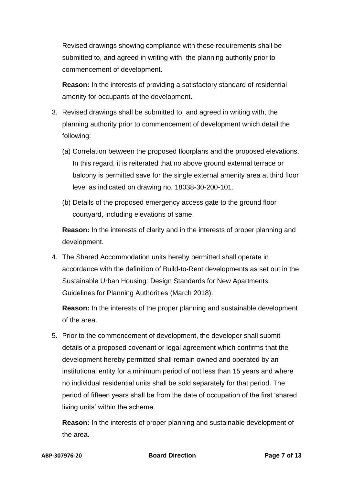Revised drawings showing compliance with these requirements shall be submitted to, and agreed in writing with, the planning authority prior to commencement of development.

**Reason:** In the interests of providing a satisfactory standard of residential amenity for occupants of the development.

- 3. Revised drawings shall be submitted to, and agreed in writing with, the planning authority prior to commencement of development which detail the following:
	- (a) Correlation between the proposed floorplans and the proposed elevations. In this regard, it is reiterated that no above ground external terrace or balcony is permitted save for the single external amenity area at third floor level as indicated on drawing no. 18038-30-200-101.
	- (b) Details of the proposed emergency access gate to the ground floor courtyard, including elevations of same.

**Reason:** In the interests of clarity and in the interests of proper planning and development.

4. The Shared Accommodation units hereby permitted shall operate in accordance with the definition of Build-to-Rent developments as set out in the Sustainable Urban Housing: Design Standards for New Apartments, Guidelines for Planning Authorities (March 2018).

**Reason:** In the interests of the proper planning and sustainable development of the area.

5. Prior to the commencement of development, the developer shall submit details of a proposed covenant or legal agreement which confirms that the development hereby permitted shall remain owned and operated by an institutional entity for a minimum period of not less than 15 years and where no individual residential units shall be sold separately for that period. The period of fifteen years shall be from the date of occupation of the first 'shared living units' within the scheme.

**Reason:** In the interests of proper planning and sustainable development of the area.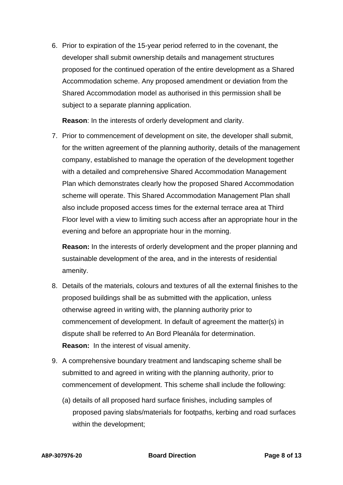6. Prior to expiration of the 15-year period referred to in the covenant, the developer shall submit ownership details and management structures proposed for the continued operation of the entire development as a Shared Accommodation scheme. Any proposed amendment or deviation from the Shared Accommodation model as authorised in this permission shall be subject to a separate planning application.

**Reason**: In the interests of orderly development and clarity.

7. Prior to commencement of development on site, the developer shall submit, for the written agreement of the planning authority, details of the management company, established to manage the operation of the development together with a detailed and comprehensive Shared Accommodation Management Plan which demonstrates clearly how the proposed Shared Accommodation scheme will operate. This Shared Accommodation Management Plan shall also include proposed access times for the external terrace area at Third Floor level with a view to limiting such access after an appropriate hour in the evening and before an appropriate hour in the morning.

**Reason:** In the interests of orderly development and the proper planning and sustainable development of the area, and in the interests of residential amenity.

- 8. Details of the materials, colours and textures of all the external finishes to the proposed buildings shall be as submitted with the application, unless otherwise agreed in writing with, the planning authority prior to commencement of development. In default of agreement the matter(s) in dispute shall be referred to An Bord Pleanála for determination. **Reason:** In the interest of visual amenity.
- 9. A comprehensive boundary treatment and landscaping scheme shall be submitted to and agreed in writing with the planning authority, prior to commencement of development. This scheme shall include the following:
	- (a) details of all proposed hard surface finishes, including samples of proposed paving slabs/materials for footpaths, kerbing and road surfaces within the development;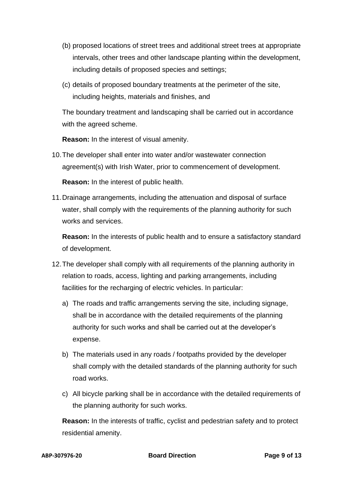- (b) proposed locations of street trees and additional street trees at appropriate intervals, other trees and other landscape planting within the development, including details of proposed species and settings;
- (c) details of proposed boundary treatments at the perimeter of the site, including heights, materials and finishes, and

The boundary treatment and landscaping shall be carried out in accordance with the agreed scheme.

**Reason:** In the interest of visual amenity.

10.The developer shall enter into water and/or wastewater connection agreement(s) with Irish Water, prior to commencement of development.

**Reason:** In the interest of public health.

11.Drainage arrangements, including the attenuation and disposal of surface water, shall comply with the requirements of the planning authority for such works and services.

**Reason:** In the interests of public health and to ensure a satisfactory standard of development.

- 12.The developer shall comply with all requirements of the planning authority in relation to roads, access, lighting and parking arrangements, including facilities for the recharging of electric vehicles. In particular:
	- a) The roads and traffic arrangements serving the site, including signage, shall be in accordance with the detailed requirements of the planning authority for such works and shall be carried out at the developer's expense.
	- b) The materials used in any roads / footpaths provided by the developer shall comply with the detailed standards of the planning authority for such road works.
	- c) All bicycle parking shall be in accordance with the detailed requirements of the planning authority for such works.

**Reason:** In the interests of traffic, cyclist and pedestrian safety and to protect residential amenity.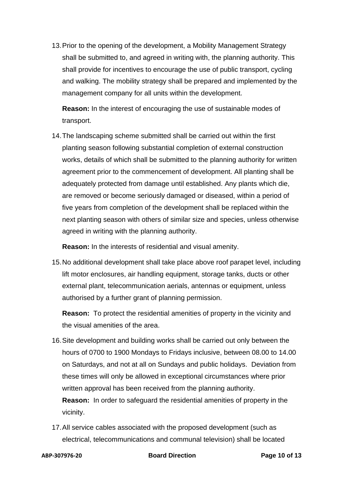13.Prior to the opening of the development, a Mobility Management Strategy shall be submitted to, and agreed in writing with, the planning authority. This shall provide for incentives to encourage the use of public transport, cycling and walking. The mobility strategy shall be prepared and implemented by the management company for all units within the development.

**Reason:** In the interest of encouraging the use of sustainable modes of transport.

14.The landscaping scheme submitted shall be carried out within the first planting season following substantial completion of external construction works, details of which shall be submitted to the planning authority for written agreement prior to the commencement of development. All planting shall be adequately protected from damage until established. Any plants which die, are removed or become seriously damaged or diseased, within a period of five years from completion of the development shall be replaced within the next planting season with others of similar size and species, unless otherwise agreed in writing with the planning authority.

**Reason:** In the interests of residential and visual amenity.

15.No additional development shall take place above roof parapet level, including lift motor enclosures, air handling equipment, storage tanks, ducts or other external plant, telecommunication aerials, antennas or equipment, unless authorised by a further grant of planning permission.

**Reason:** To protect the residential amenities of property in the vicinity and the visual amenities of the area.

- 16.Site development and building works shall be carried out only between the hours of 0700 to 1900 Mondays to Fridays inclusive, between 08.00 to 14.00 on Saturdays, and not at all on Sundays and public holidays. Deviation from these times will only be allowed in exceptional circumstances where prior written approval has been received from the planning authority. **Reason:** In order to safeguard the residential amenities of property in the vicinity.
- 17.All service cables associated with the proposed development (such as electrical, telecommunications and communal television) shall be located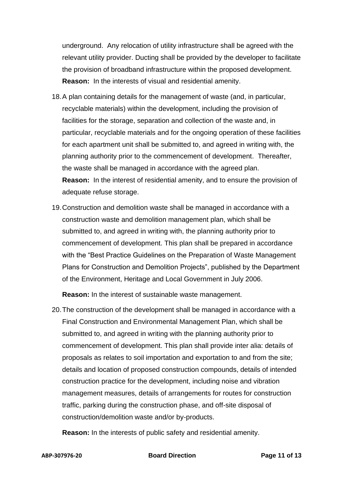underground. Any relocation of utility infrastructure shall be agreed with the relevant utility provider. Ducting shall be provided by the developer to facilitate the provision of broadband infrastructure within the proposed development. **Reason:** In the interests of visual and residential amenity.

- 18.A plan containing details for the management of waste (and, in particular, recyclable materials) within the development, including the provision of facilities for the storage, separation and collection of the waste and, in particular, recyclable materials and for the ongoing operation of these facilities for each apartment unit shall be submitted to, and agreed in writing with, the planning authority prior to the commencement of development. Thereafter, the waste shall be managed in accordance with the agreed plan. **Reason:** In the interest of residential amenity, and to ensure the provision of adequate refuse storage.
- 19.Construction and demolition waste shall be managed in accordance with a construction waste and demolition management plan, which shall be submitted to, and agreed in writing with, the planning authority prior to commencement of development. This plan shall be prepared in accordance with the "Best Practice Guidelines on the Preparation of Waste Management Plans for Construction and Demolition Projects", published by the Department of the Environment, Heritage and Local Government in July 2006.

**Reason:** In the interest of sustainable waste management.

20.The construction of the development shall be managed in accordance with a Final Construction and Environmental Management Plan, which shall be submitted to, and agreed in writing with the planning authority prior to commencement of development. This plan shall provide inter alia: details of proposals as relates to soil importation and exportation to and from the site; details and location of proposed construction compounds, details of intended construction practice for the development, including noise and vibration management measures, details of arrangements for routes for construction traffic, parking during the construction phase, and off-site disposal of construction/demolition waste and/or by-products.

**Reason:** In the interests of public safety and residential amenity.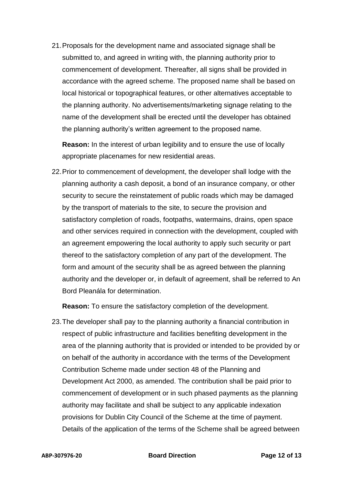21.Proposals for the development name and associated signage shall be submitted to, and agreed in writing with, the planning authority prior to commencement of development. Thereafter, all signs shall be provided in accordance with the agreed scheme. The proposed name shall be based on local historical or topographical features, or other alternatives acceptable to the planning authority. No advertisements/marketing signage relating to the name of the development shall be erected until the developer has obtained the planning authority's written agreement to the proposed name.

**Reason:** In the interest of urban legibility and to ensure the use of locally appropriate placenames for new residential areas.

22.Prior to commencement of development, the developer shall lodge with the planning authority a cash deposit, a bond of an insurance company, or other security to secure the reinstatement of public roads which may be damaged by the transport of materials to the site, to secure the provision and satisfactory completion of roads, footpaths, watermains, drains, open space and other services required in connection with the development, coupled with an agreement empowering the local authority to apply such security or part thereof to the satisfactory completion of any part of the development. The form and amount of the security shall be as agreed between the planning authority and the developer or, in default of agreement, shall be referred to An Bord Pleanála for determination.

**Reason:** To ensure the satisfactory completion of the development.

23.The developer shall pay to the planning authority a financial contribution in respect of public infrastructure and facilities benefiting development in the area of the planning authority that is provided or intended to be provided by or on behalf of the authority in accordance with the terms of the Development Contribution Scheme made under section 48 of the Planning and Development Act 2000, as amended. The contribution shall be paid prior to commencement of development or in such phased payments as the planning authority may facilitate and shall be subject to any applicable indexation provisions for Dublin City Council of the Scheme at the time of payment. Details of the application of the terms of the Scheme shall be agreed between